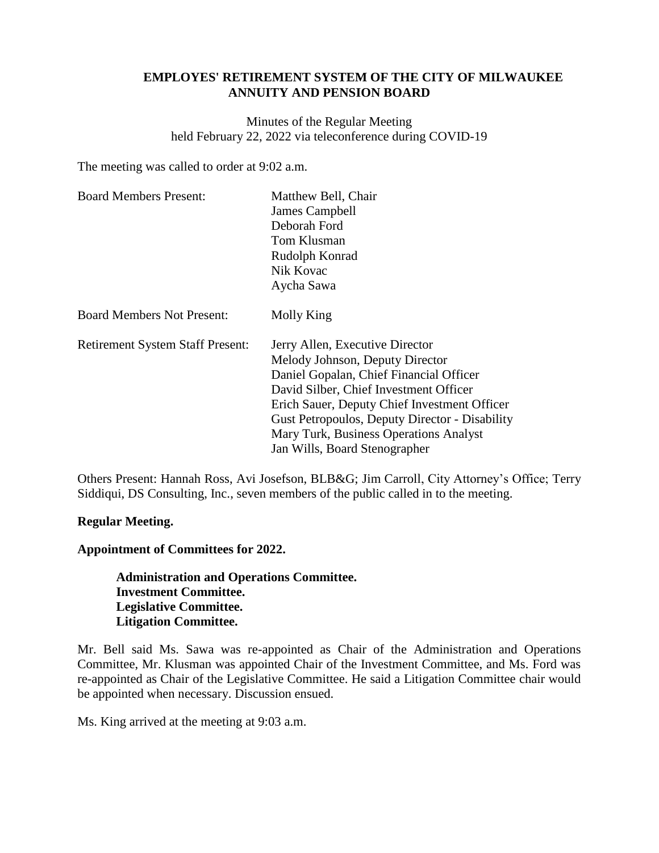# **EMPLOYES' RETIREMENT SYSTEM OF THE CITY OF MILWAUKEE ANNUITY AND PENSION BOARD**

Minutes of the Regular Meeting held February 22, 2022 via teleconference during COVID-19

The meeting was called to order at 9:02 a.m.

| <b>Board Members Present:</b>           | Matthew Bell, Chair<br>James Campbell<br>Deborah Ford<br>Tom Klusman<br>Rudolph Konrad<br>Nik Kovac<br>Aycha Sawa                                                                                                                                                                                                                           |
|-----------------------------------------|---------------------------------------------------------------------------------------------------------------------------------------------------------------------------------------------------------------------------------------------------------------------------------------------------------------------------------------------|
| <b>Board Members Not Present:</b>       | Molly King                                                                                                                                                                                                                                                                                                                                  |
| <b>Retirement System Staff Present:</b> | Jerry Allen, Executive Director<br>Melody Johnson, Deputy Director<br>Daniel Gopalan, Chief Financial Officer<br>David Silber, Chief Investment Officer<br>Erich Sauer, Deputy Chief Investment Officer<br><b>Gust Petropoulos, Deputy Director - Disability</b><br>Mary Turk, Business Operations Analyst<br>Jan Wills, Board Stenographer |

Others Present: Hannah Ross, Avi Josefson, BLB&G; Jim Carroll, City Attorney's Office; Terry Siddiqui, DS Consulting, Inc., seven members of the public called in to the meeting.

# **Regular Meeting.**

**Appointment of Committees for 2022.**

**Administration and Operations Committee. Investment Committee. Legislative Committee. Litigation Committee.**

Mr. Bell said Ms. Sawa was re-appointed as Chair of the Administration and Operations Committee, Mr. Klusman was appointed Chair of the Investment Committee, and Ms. Ford was re-appointed as Chair of the Legislative Committee. He said a Litigation Committee chair would be appointed when necessary. Discussion ensued.

Ms. King arrived at the meeting at 9:03 a.m.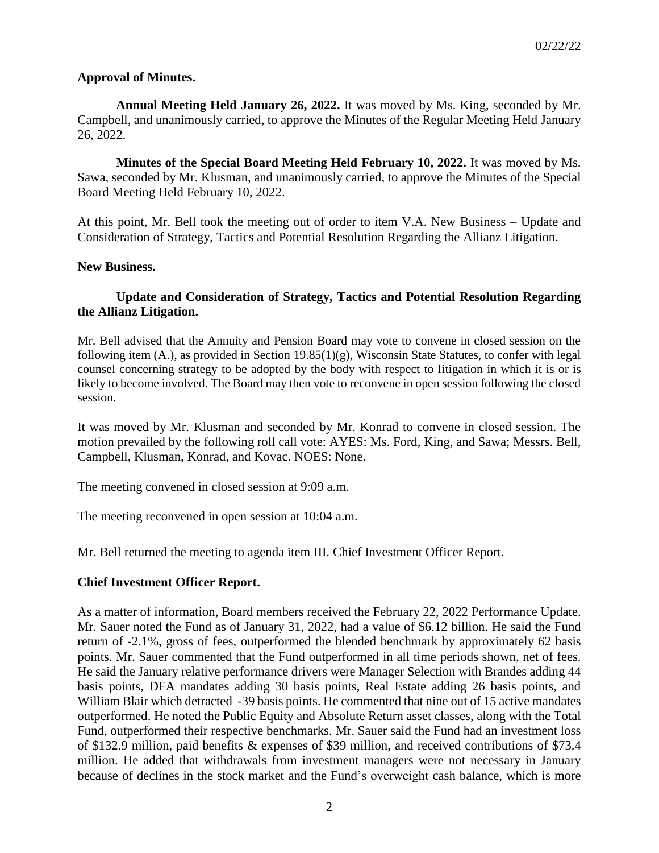# **Approval of Minutes.**

**Annual Meeting Held January 26, 2022.** It was moved by Ms. King, seconded by Mr. Campbell, and unanimously carried, to approve the Minutes of the Regular Meeting Held January 26, 2022.

**Minutes of the Special Board Meeting Held February 10, 2022.** It was moved by Ms. Sawa, seconded by Mr. Klusman, and unanimously carried, to approve the Minutes of the Special Board Meeting Held February 10, 2022.

At this point, Mr. Bell took the meeting out of order to item V.A. New Business – Update and Consideration of Strategy, Tactics and Potential Resolution Regarding the Allianz Litigation.

# **New Business.**

# **Update and Consideration of Strategy, Tactics and Potential Resolution Regarding the Allianz Litigation.**

Mr. Bell advised that the Annuity and Pension Board may vote to convene in closed session on the following item  $(A)$ , as provided in Section 19.85 $(1)(g)$ , Wisconsin State Statutes, to confer with legal counsel concerning strategy to be adopted by the body with respect to litigation in which it is or is likely to become involved. The Board may then vote to reconvene in open session following the closed session.

It was moved by Mr. Klusman and seconded by Mr. Konrad to convene in closed session. The motion prevailed by the following roll call vote: AYES: Ms. Ford, King, and Sawa; Messrs. Bell, Campbell, Klusman, Konrad, and Kovac. NOES: None.

The meeting convened in closed session at 9:09 a.m.

The meeting reconvened in open session at 10:04 a.m.

Mr. Bell returned the meeting to agenda item III. Chief Investment Officer Report.

# **Chief Investment Officer Report.**

As a matter of information, Board members received the February 22, 2022 Performance Update. Mr. Sauer noted the Fund as of January 31, 2022, had a value of \$6.12 billion. He said the Fund return of -2.1%, gross of fees, outperformed the blended benchmark by approximately 62 basis points. Mr. Sauer commented that the Fund outperformed in all time periods shown, net of fees. He said the January relative performance drivers were Manager Selection with Brandes adding 44 basis points, DFA mandates adding 30 basis points, Real Estate adding 26 basis points, and William Blair which detracted -39 basis points. He commented that nine out of 15 active mandates outperformed. He noted the Public Equity and Absolute Return asset classes, along with the Total Fund, outperformed their respective benchmarks. Mr. Sauer said the Fund had an investment loss of \$132.9 million, paid benefits & expenses of \$39 million, and received contributions of \$73.4 million. He added that withdrawals from investment managers were not necessary in January because of declines in the stock market and the Fund's overweight cash balance, which is more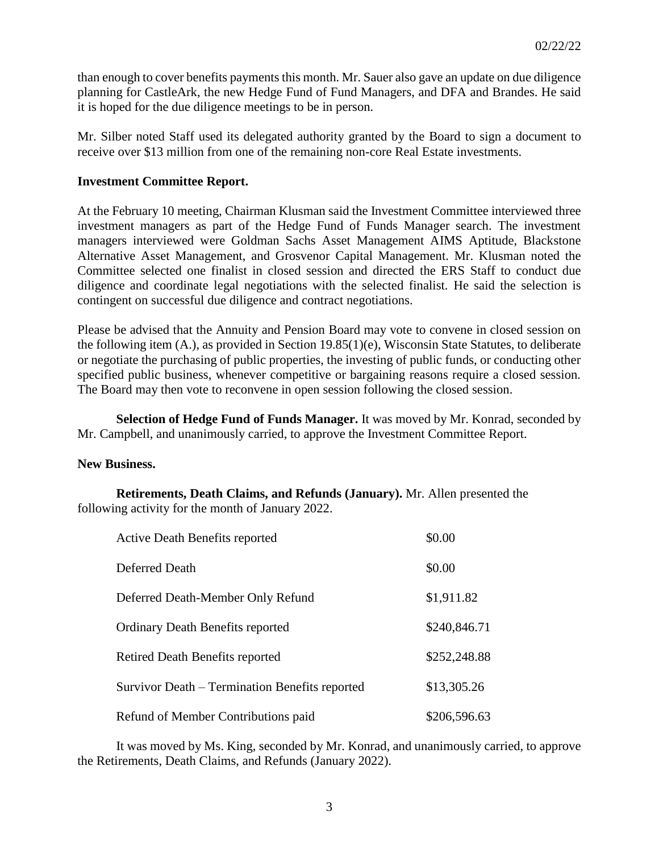than enough to cover benefits payments this month. Mr. Sauer also gave an update on due diligence planning for CastleArk, the new Hedge Fund of Fund Managers, and DFA and Brandes. He said it is hoped for the due diligence meetings to be in person.

Mr. Silber noted Staff used its delegated authority granted by the Board to sign a document to receive over \$13 million from one of the remaining non-core Real Estate investments.

## **Investment Committee Report.**

At the February 10 meeting, Chairman Klusman said the Investment Committee interviewed three investment managers as part of the Hedge Fund of Funds Manager search. The investment managers interviewed were Goldman Sachs Asset Management AIMS Aptitude, Blackstone Alternative Asset Management, and Grosvenor Capital Management. Mr. Klusman noted the Committee selected one finalist in closed session and directed the ERS Staff to conduct due diligence and coordinate legal negotiations with the selected finalist. He said the selection is contingent on successful due diligence and contract negotiations.

Please be advised that the Annuity and Pension Board may vote to convene in closed session on the following item (A.), as provided in Section 19.85(1)(e), Wisconsin State Statutes, to deliberate or negotiate the purchasing of public properties, the investing of public funds, or conducting other specified public business, whenever competitive or bargaining reasons require a closed session. The Board may then vote to reconvene in open session following the closed session.

**Selection of Hedge Fund of Funds Manager.** It was moved by Mr. Konrad, seconded by Mr. Campbell, and unanimously carried, to approve the Investment Committee Report.

#### **New Business.**

**Retirements, Death Claims, and Refunds (January).** Mr. Allen presented the following activity for the month of January 2022.

| <b>Active Death Benefits reported</b>          | \$0.00       |
|------------------------------------------------|--------------|
| Deferred Death                                 | \$0.00       |
| Deferred Death-Member Only Refund              | \$1,911.82   |
| <b>Ordinary Death Benefits reported</b>        | \$240,846.71 |
| <b>Retired Death Benefits reported</b>         | \$252,248.88 |
| Survivor Death – Termination Benefits reported | \$13,305.26  |
| Refund of Member Contributions paid            | \$206,596.63 |

It was moved by Ms. King, seconded by Mr. Konrad, and unanimously carried, to approve the Retirements, Death Claims, and Refunds (January 2022).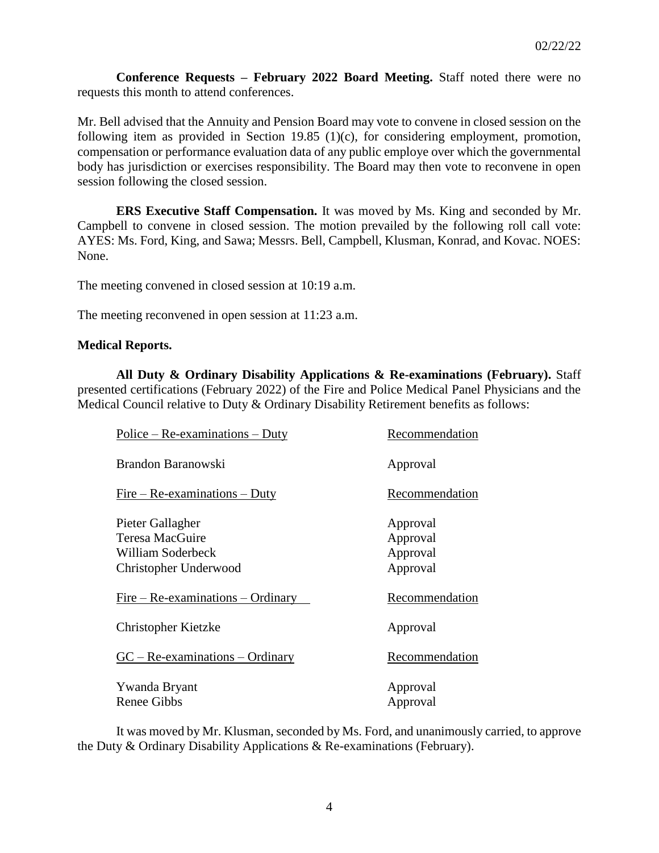**Conference Requests – February 2022 Board Meeting.** Staff noted there were no requests this month to attend conferences.

Mr. Bell advised that the Annuity and Pension Board may vote to convene in closed session on the following item as provided in Section 19.85 (1)(c), for considering employment, promotion, compensation or performance evaluation data of any public employe over which the governmental body has jurisdiction or exercises responsibility. The Board may then vote to reconvene in open session following the closed session.

**ERS Executive Staff Compensation.** It was moved by Ms. King and seconded by Mr. Campbell to convene in closed session. The motion prevailed by the following roll call vote: AYES: Ms. Ford, King, and Sawa; Messrs. Bell, Campbell, Klusman, Konrad, and Kovac. NOES: None.

The meeting convened in closed session at 10:19 a.m.

The meeting reconvened in open session at 11:23 a.m.

### **Medical Reports.**

**All Duty & Ordinary Disability Applications & Re-examinations (February).** Staff presented certifications (February 2022) of the Fire and Police Medical Panel Physicians and the Medical Council relative to Duty & Ordinary Disability Retirement benefits as follows:

| Recommendation |
|----------------|
| Approval       |
| Recommendation |
| Approval       |
| Approval       |
| Approval       |
| Approval       |
| Recommendation |
| Approval       |
| Recommendation |
| Approval       |
| Approval       |
|                |

It was moved by Mr. Klusman, seconded by Ms. Ford, and unanimously carried, to approve the Duty & Ordinary Disability Applications & Re-examinations (February).